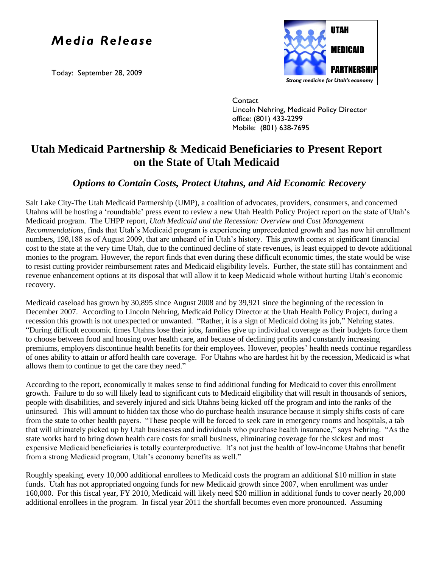## *Media Release*

Today: September 28, 2009



**Contact** Lincoln Nehring, Medicaid Policy Director office: (801) 433-2299 Mobile: (801) 638-7695

## **Utah Medicaid Partnership & Medicaid Beneficiaries to Present Report on the State of Utah Medicaid**

## *Options to Contain Costs, Protect Utahns, and Aid Economic Recovery*

Salt Lake City-The Utah Medicaid Partnership (UMP), a coalition of advocates, providers, consumers, and concerned Utahns will be hosting a "roundtable" press event to review a new Utah Health Policy Project report on the state of Utah"s Medicaid program. The UHPP report*, Utah Medicaid and the Recession: Overview and Cost Management Recommendations*, finds that Utah"s Medicaid program is experiencing unprecedented growth and has now hit enrollment numbers, 198,188 as of August 2009, that are unheard of in Utah's history. This growth comes at significant financial cost to the state at the very time Utah, due to the continued decline of state revenues, is least equipped to devote additional monies to the program. However, the report finds that even during these difficult economic times, the state would be wise to resist cutting provider reimbursement rates and Medicaid eligibility levels. Further, the state still has containment and revenue enhancement options at its disposal that will allow it to keep Medicaid whole without hurting Utah"s economic recovery.

Medicaid caseload has grown by 30,895 since August 2008 and by 39,921 since the beginning of the recession in December 2007. According to Lincoln Nehring, Medicaid Policy Director at the Utah Health Policy Project, during a recession this growth is not unexpected or unwanted. "Rather, it is a sign of Medicaid doing its job," Nehring states. "During difficult economic times Utahns lose their jobs, families give up individual coverage as their budgets force them to choose between food and housing over health care, and because of declining profits and constantly increasing premiums, employers discontinue health benefits for their employees. However, peoples" health needs continue regardless of ones ability to attain or afford health care coverage. For Utahns who are hardest hit by the recession, Medicaid is what allows them to continue to get the care they need."

According to the report, economically it makes sense to find additional funding for Medicaid to cover this enrollment growth. Failure to do so will likely lead to significant cuts to Medicaid eligibility that will result in thousands of seniors, people with disabilities, and severely injured and sick Utahns being kicked off the program and into the ranks of the uninsured. This will amount to hidden tax those who do purchase health insurance because it simply shifts costs of care from the state to other health payers. "These people will be forced to seek care in emergency rooms and hospitals, a tab that will ultimately picked up by Utah businesses and individuals who purchase health insurance," says Nehring. "As the state works hard to bring down health care costs for small business, eliminating coverage for the sickest and most expensive Medicaid beneficiaries is totally counterproductive. It's not just the health of low-income Utahns that benefit from a strong Medicaid program, Utah's economy benefits as well."

Roughly speaking, every 10,000 additional enrollees to Medicaid costs the program an additional \$10 million in state funds. Utah has not appropriated ongoing funds for new Medicaid growth since 2007, when enrollment was under 160,000. For this fiscal year, FY 2010, Medicaid will likely need \$20 million in additional funds to cover nearly 20,000 additional enrollees in the program. In fiscal year 2011 the shortfall becomes even more pronounced. Assuming